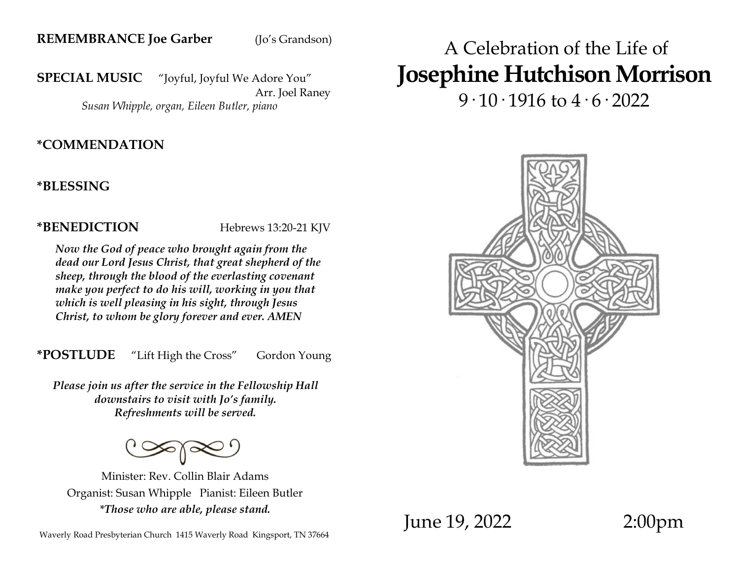#### **REMEMBRANCE Joe Garber** (Jo's Grandson)

**SPECIAL MUSIC** "Joyful, Joyful We Adore You" Arr. Joel Raney

*Susan Whipple, organ, Eileen Butler, piano*

#### **\*COMMENDATION**

**\*BLESSING**

**\*BENEDICTION** Hebrews 13:20-21 KJV

*Now the God of peace who brought again from the dead our Lord Jesus Christ, that great shepherd of the sheep, through the blood of the everlasting covenant make you perfect to do his will, working in you that which is well pleasing in his sight, through Jesus Christ, to whom be glory forever and ever. AMEN* 

**\*POSTLUDE** "Lift High the Cross" Gordon Young

*Please join us after the service in the Fellowship Hall downstairs to visit with Jo's family. Refreshments will be served.*

Minister: Rev. Collin Blair Adams Organist: Susan Whipple Pianist: Eileen Butler *\*Those who are able, please stand.*

# A Celebration of the Life of **Josephine Hutchison Morrison**

 $9.10.1916$  to  $4.6.2022$ 

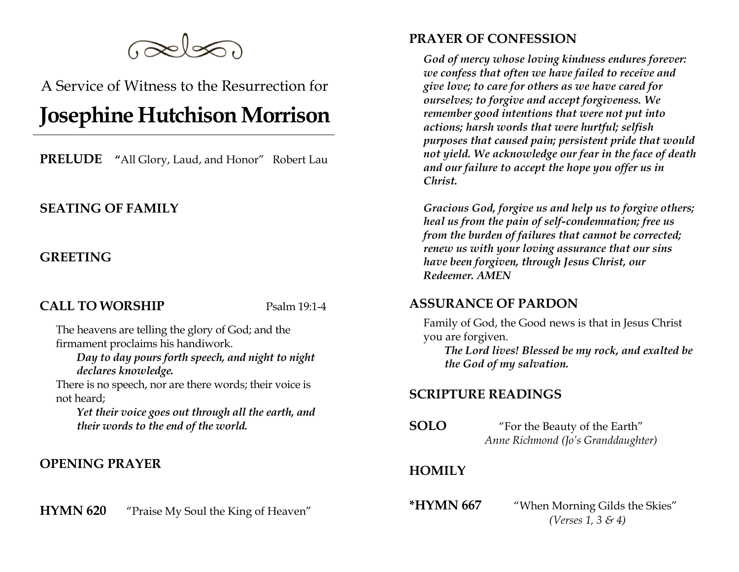

A Service of Witness to the Resurrection for

# **Josephine Hutchison Morrison**

**PRELUDE "**All Glory, Laud, and Honor" Robert Lau

#### **SEATING OF FAMILY**

#### **GREETING**

#### **CALL TO WORSHIP** Psalm 19:1-4

The heavens are telling the glory of God; and the firmament proclaims his handiwork.

*Day to day pours forth speech, and night to night declares knowledge.* 

There is no speech, nor are there words; their voice is not heard;

*Yet their voice goes out through all the earth, and their words to the end of the world.* 

#### **OPENING PRAYER**

**HYMN 620** "Praise My Soul the King of Heaven"

### **PRAYER OF CONFESSION**

*God of mercy whose loving kindness endures forever: we confess that often we have failed to receive and give love; to care for others as we have cared for ourselves; to forgive and accept forgiveness. We remember good intentions that were not put into actions; harsh words that were hurtful; selfish purposes that caused pain; persistent pride that would not yield. We acknowledge our fear in the face of death and our failure to accept the hope you offer us in Christ.* 

*Gracious God, forgive us and help us to forgive others; heal us from the pain of self-condemnation; free us from the burden of failures that cannot be corrected; renew us with your loving assurance that our sins have been forgiven, through Jesus Christ, our Redeemer. AMEN* 

#### **ASSURANCE OF PARDON**

Family of God, the Good news is that in Jesus Christ you are forgiven.

*The Lord lives! Blessed be my rock, and exalted be the God of my salvation.* 

#### **SCRIPTURE READINGS**

**SOLO** "For the Beauty of the Earth" *Anne Richmond (Jo's Granddaughter)*

#### **HOMILY**

**\*HYMN 667** "When Morning Gilds the Skies" *(Verses 1, 3 & 4)*